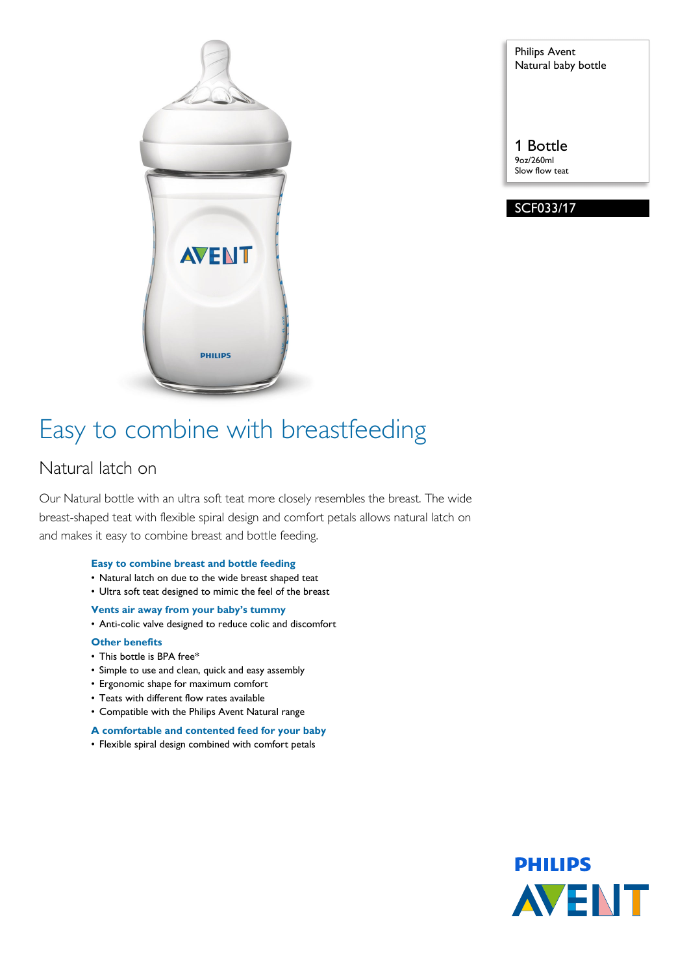

Philips Avent Natural baby bottle

1 Bottle 9oz/260ml Slow flow teat

SCF033/17

# Easy to combine with breastfeeding

# Natural latch on

Our Natural bottle with an ultra soft teat more closely resembles the breast. The wide breast-shaped teat with flexible spiral design and comfort petals allows natural latch on and makes it easy to combine breast and bottle feeding.

#### **Easy to combine breast and bottle feeding**

- Natural latch on due to the wide breast shaped teat
- Ultra soft teat designed to mimic the feel of the breast
- **Vents air away from your baby's tummy**
- Anti-colic valve designed to reduce colic and discomfort

#### **Other benefits**

- This bottle is BPA free\*
- Simple to use and clean, quick and easy assembly
- Ergonomic shape for maximum comfort
- Teats with different flow rates available
- Compatible with the Philips Avent Natural range

#### **A comfortable and contented feed for your baby**

• Flexible spiral design combined with comfort petals

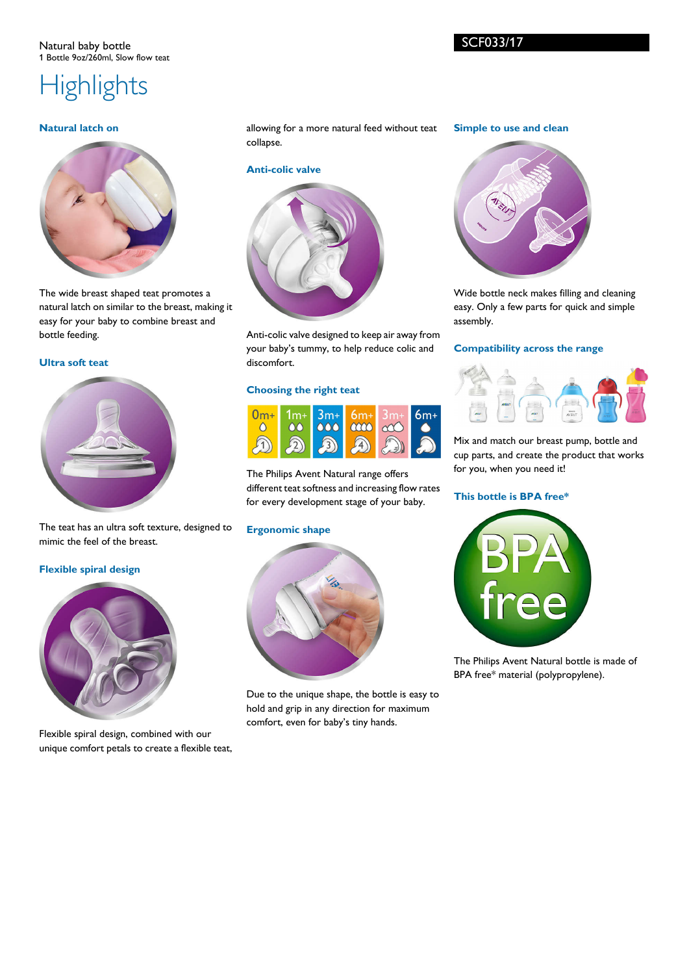# **Highlights**

#### **Natural latch on**



The wide breast shaped teat promotes a natural latch on similar to the breast, making it easy for your baby to combine breast and bottle feeding.

### **Ultra soft teat**



The teat has an ultra soft texture, designed to mimic the feel of the breast.

#### **Flexible spiral design**



Flexible spiral design, combined with our unique comfort petals to create a flexible teat, allowing for a more natural feed without teat collapse.

#### **Anti-colic valve**



Anti-colic valve designed to keep air away from your baby's tummy, to help reduce colic and discomfort.

#### **Choosing the right teat**



The Philips Avent Natural range offers different teat softness and increasing flow rates for every development stage of your baby.

#### **Ergonomic shape**



Due to the unique shape, the bottle is easy to hold and grip in any direction for maximum comfort, even for baby's tiny hands.

#### **Simple to use and clean**



Wide bottle neck makes filling and cleaning easy. Only a few parts for quick and simple assembly.

#### **Compatibility across the range**



Mix and match our breast pump, bottle and cup parts, and create the product that works for you, when you need it!

#### **This bottle is BPA free\***



The Philips Avent Natural bottle is made of BPA free\* material (polypropylene).

SCF033/17